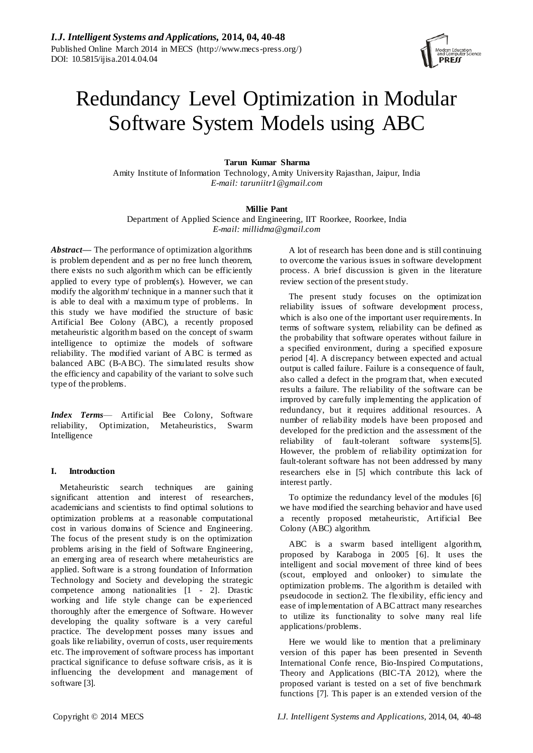

# Redundancy Level Optimization in Modular Software System Models using ABC

## **Tarun Kumar Sharma**

Amity Institute of Information Technology, Amity University Rajasthan, Jaipur, India *E-mail: taruniitr1@gmail.com*

# **Millie Pant**

Department of Applied Science and Engineering, IIT Roorkee, Roorkee, India *E-mail: millidma@gmail.com*

*Abstract***—** The performance of optimization algorithms is problem dependent and as per no free lunch theorem, there exists no such algorithm which can be efficiently applied to every type of problem(s). However, we can modify the algorithm/ technique in a manner such that it is able to deal with a maximum type of problems. In this study we have modified the structure of basic Artificial Bee Colony (ABC), a recently proposed metaheuristic algorithm based on the concept of swarm intelligence to optimize the models of software reliability. The modified variant of ABC is termed as balanced ABC (B-ABC). The simulated results show the efficiency and capability of the variant to solve such type of the problems.

*Index Terms*— Artificial Bee Colony, Software reliability, Optimization, Metaheuristics, Swarm Intelligence

## **I. Introduction**

Metaheuristic search techniques are gaining significant attention and interest of researchers, academicians and scientists to find optimal solutions to optimization problems at a reasonable computational cost in various domains of Science and Engineering. The focus of the present study is on the optimization problems arising in the field of Software Engineering, an emerging area of research where metaheuristics are applied. Software is a strong foundation of Information Technology and Society and developing the strategic competence among nationalities [1 - 2]. Drastic working and life style change can be experienced thoroughly after the emergence of Software. However developing the quality software is a very careful practice. The development posses many issues and goals like reliability, overrun of costs, user requirements etc. The improvement of software process has important practical significance to defuse software crisis, as it is influencing the development and management of software [3].

A lot of research has been done and is still continuing to overcome the various issues in software development process. A brief discussion is given in the literature review section of the present study.

The present study focuses on the optimization reliability issues of software development process, which is also one of the important user requirements. In terms of software system, reliability can be defined as the probability that software operates without failure in a specified environment, during a specified exposure period [4]. A discrepancy between expected and actual output is called failure. Failure is a consequence of fault, also called a defect in the program that, when executed results a failure. The reliability of the software can be improved by carefully implementing the application of redundancy, but it requires additional resources. A number of reliability models have been proposed and developed for the prediction and the assessment of the reliability of fault-tolerant software systems[5]. However, the problem of reliability optimization for fault-tolerant software has not been addressed by many researchers else in [5] which contribute this lack of interest partly.

To optimize the redundancy level of the modules [6] we have modified the searching behavior and have used a recently proposed metaheuristic, Artificial Bee Colony (ABC) algorithm.

ABC is a swarm based intelligent algorithm, proposed by Karaboga in 2005 [6]. It uses the intelligent and social movement of three kind of bees (scout, employed and onlooker) to simulate the optimization problems. The algorithm is detailed with pseudocode in section2. The flexibility, effic iency and ease of implementation of ABC attract many researches to utilize its functionality to solve many real life applications/problems.

Here we would like to mention that a preliminary version of this paper has been presented in Seventh International Confe rence, Bio-Inspired Computations, Theory and Applications (BIC-TA 2012), where the proposed variant is tested on a set of five benchmark functions [7]. This paper is an extended version of the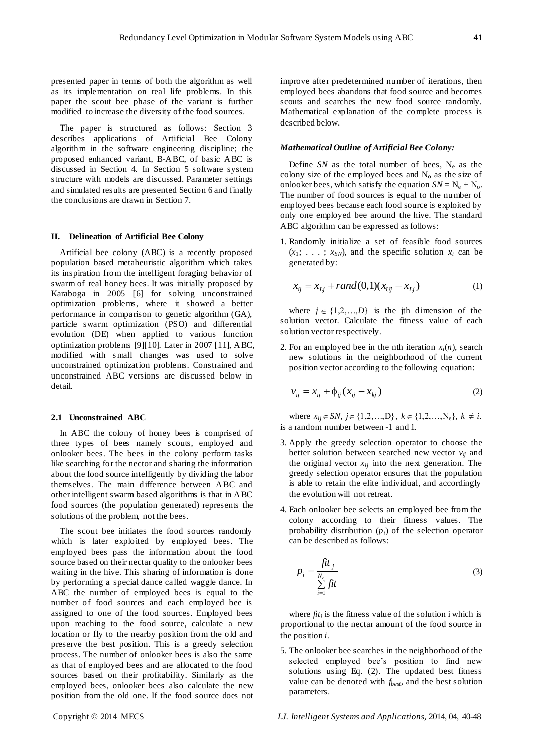presented paper in terms of both the algorithm as well as its implementation on real life problems. In this paper the scout bee phase of the variant is further modified to increase the diversity of the food sources.

The paper is structured as follows: Section 3 describes applications of Artificial Bee Colony algorithm in the software engineering discipline; the proposed enhanced variant, B-ABC, of basic ABC is discussed in Section 4. In Section 5 software system structure with models are discussed. Parameter settings and simulated results are presented Section 6 and finally the conclusions are drawn in Section 7.

## **II. Delineation of Artificial Bee Colony**

Artificial bee colony (ABC) is a recently proposed population based metaheuristic algorithm which takes its inspiration from the intelligent foraging behavior of swarm of real honey bees. It was initially proposed by Karaboga in 2005 [6] for solving unconstrained optimization problems, where it showed a better performance in comparison to genetic algorithm (GA), particle swarm optimization (PSO) and differential evolution (DE) when applied to various function optimization problems [9][10]. Later in 2007 [11], ABC, modified with s mall changes was used to solve unconstrained optimization problems. Constrained and unconstrained ABC versions are discussed below in detail.

#### **2.1 Unconstrained ABC**

In ABC the colony of honey bees is comprised of three types of bees namely scouts, employed and onlooker bees. The bees in the colony perform tasks like searching for the nector and sharing the information about the food source intelligently by dividing the labor themselves. The main difference between ABC and other intelligent swarm based algorithms is that in ABC food sources (the population generated) represents the solutions of the problem, not the bees.

The scout bee initiates the food sources randomly which is later exploited by employed bees. The employed bees pass the information about the food source based on their nectar quality to the onlooker bees waiting in the hive. This sharing of information is done by performing a special dance called waggle dance. In ABC the number of employed bees is equal to the number of food sources and each employed bee is assigned to one of the food sources. Employed bees upon reaching to the food source, calculate a new location or fly to the nearby position from the old and preserve the best position. This is a greedy selection process. The number of onlooker bees is also the same as that of employed bees and are allocated to the food sources based on their profitability. Similarly as the employed bees, onlooker bees also calculate the new position from the old one. If the food source does not

improve after predetermined number of iterations, then employed bees abandons that food source and becomes scouts and searches the new food source randomly. Mathematical explanation of the complete process is described below.

#### *Mathematical Outline of Artificial Bee Colony:*

Define *SN* as the total number of bees,  $N_e$  as the colony size of the employed bees and  $N_0$  as the size of onlooker bees, which satisfy the equation  $SN = N_e + N_o$ . The number of food sources is equal to the number of employed bees because each food source is exploited by only one employed bee around the hive. The standard ABC algorithm can be expressed as follows:

1. Randomly initialize a set of feasible food sources  $(x_1; \ldots; x_{SN})$ , and the specific solution  $x_i$  can be generated by:

$$
x_{ij} = x_{Lj} + rand(0,1)(x_{Uj} - x_{Lj})
$$
 (1)

where  $j \in \{1,2,...,D\}$  is the jth dimension of the solution vector. Calculate the fitness value of each solution vector respectively.

2. For an employed bee in the nth iteration  $x_i(n)$ , search new solutions in the neighborhood of the current position vector according to the following equation:

$$
v_{ij} = x_{ij} + \phi_{ij} (x_{ij} - x_{kj})
$$
 (2)

where  $x_{ij} \in SN$ ,  $j \in \{1,2,...,D\}$ ,  $k \in \{1,2,...,N_e\}$ ,  $k \neq i$ . is a random number between -1 and 1.

- 3. Apply the greedy selection operator to choose the better solution between searched new vector  $v_{ij}$  and the original vector  $x_{ij}$  into the next generation. The greedy selection operator ensures that the population is able to retain the elite individual, and accordingly the evolution will not retreat.
- 4. Each onlooker bee selects an employed bee from the colony according to their fitness values. The probability distribution (*pi*) of the selection operator can be described as follows:

$$
p_i = \frac{fit_j}{\sum_{i=1}^{N_e} fit}
$$
 (3)

where  $ft_i$  is the fitness value of the solution i which is proportional to the nectar amount of the food source in the position *i*.

5. The onlooker bee searches in the neighborhood of the selected employed bee's position to find new solutions using Eq. (2). The updated best fitness value can be denoted with *fbest*, and the best solution parameters.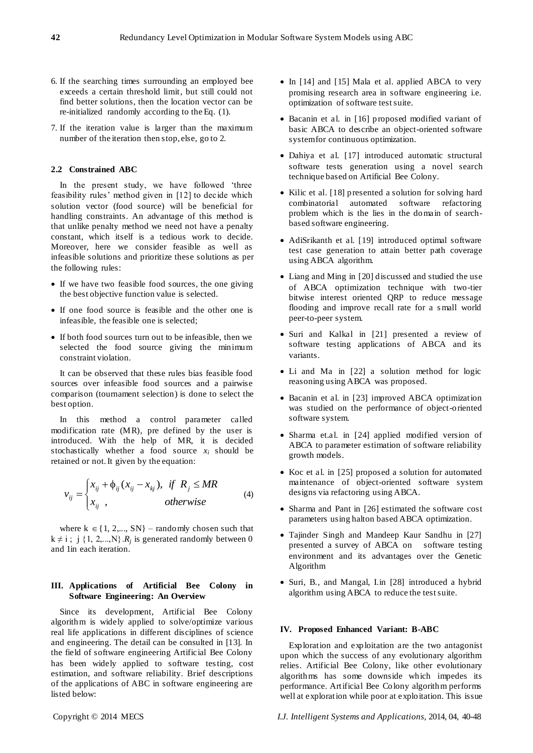- 6. If the searching times surrounding an employed bee exceeds a certain threshold limit, but still could not find better solutions, then the location vector can be re-initialized randomly according to the Eq. (1).
- 7. If the iteration value is larger than the maximum number of the iteration then stop, else, go to 2.

## **2.2 Constrained ABC**

In the present study, we have followed 'three feasibility rules' method given in [12] to decide which solution vector (food source) will be beneficial for handling constraints. An advantage of this method is that unlike penalty method we need not have a penalty constant, which itself is a tedious work to decide. Moreover, here we consider feasible as well as infeasible solutions and prioritize these solutions as per the following rules:

- If we have two feasible food sources, the one giving the best objective function value is selected.
- If one food source is feasible and the other one is infeasible, the feasible one is selected;
- If both food sources turn out to be infeasible, then we selected the food source giving the minimum constraint violation.

It can be observed that these rules bias feasible food sources over infeasible food sources and a pairwise comparison (tournament selection) is done to select the best option.

In this method a control parameter called modification rate (MR), pre defined by the user is introduced. With the help of MR, it is decided stochastically whether a food source  $x_i$  should be retained or not. It given by the equation:

$$
v_{ij} = \begin{cases} x_{ij} + \phi_{ij} (x_{ij} - x_{kj}), & \text{if } R_j \le MR \\ x_{ij}, & \text{otherwise} \end{cases}
$$
 (4)

where  $k \in \{1, 2, ..., SN\}$  – randomly chosen such that  $k \neq i$ ; j {1, 2, ..., N}  $R_j$  is generated randomly between 0 and 1in each iteration.

# **III. Applications of Artificial Bee Colony in Software Engineering: An Overview**

Since its development, Artificial Bee Colony algorithm is widely applied to solve/optimize various real life applications in different disciplines of science and engineering. The detail can be consulted in [13]. In the field of software engineering Artificial Bee Colony has been widely applied to software testing, cost estimation, and software reliability. Brief descriptions of the applications of ABC in software engineering are listed below:

- In [14] and [15] Mala et al. applied ABCA to very promising research area in software engineering i.e. optimization of software test suite.
- Bacanin et al. in [16] proposed modified variant of basic ABCA to describe an object-oriented software system for continuous optimization.
- Dahiya et al. [17] introduced automatic structural software tests generation using a novel search technique based on Artificial Bee Colony.
- Kilic et al. [18] presented a solution for solving hard combinatorial automated software refactoring problem which is the lies in the domain of searchbased software engineering.
- AdiSrikanth et al. [19] introduced optimal software test case generation to attain better path coverage using ABCA algorithm.
- Liang and Ming in [20] discussed and studied the use of ABCA optimization technique with two-tier bitwise interest oriented QRP to reduce message flooding and improve recall rate for a s mall world peer-to-peer system.
- Suri and Kalkal in [21] presented a review of software testing applications of ABCA and its variants.
- Li and Ma in [22] a solution method for logic reasoning using ABCA was proposed.
- Bacanin et al. in [23] improved ABCA optimization was studied on the performance of object-oriented software system.
- Sharma et.al. in [24] applied modified version of ABCA to parameter estimation of software reliability growth models.
- Koc et al. in [25] proposed a solution for automated maintenance of object-oriented software system designs via refactoring using ABCA.
- Sharma and Pant in [26] estimated the software cost parameters using halton based ABCA optimization.
- Tajinder Singh and Mandeep Kaur Sandhu in [27] presented a survey of ABCA on software testing environment and its advantages over the Genetic Algorithm
- Suri, B., and Mangal, I.in [28] introduced a hybrid algorithm using ABCA to reduce the test suite.

#### **IV. Proposed Enhanced Variant: B-ABC**

Exploration and exploitation are the two antagonist upon which the success of any evolutionary algorithm relies. Artificial Bee Colony, like other evolutionary algorithms has some downside which impedes its performance. Artificial Bee Colony algorithm performs well at exploration while poor at exploitation. This issue

Copyright © 2014 MECS *I.J. Intelligent Systems and Applications,* 2014, 04, 40-48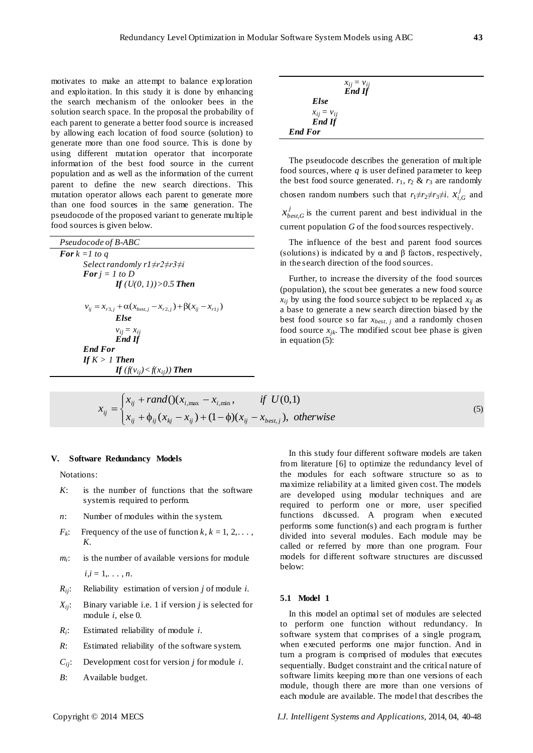motivates to make an attempt to balance exploration and exploitation. In this study it is done by enhancing the search mechanism of the onlooker bees in the solution search space. In the proposal the probability of each parent to generate a better food source is increased by allowing each location of food source (solution) to generate more than one food source. This is done by using different mutation operator that incorporate information of the best food source in the current population and as well as the information of the current parent to define the new search directions. This mutation operator allows each parent to generate more than one food sources in the same generation. The pseudocode of the proposed variant to generate multiple food sources is given below.

| Pseudocode of B-ABC                                                                      |
|------------------------------------------------------------------------------------------|
| <b>For</b> $k = 1$ to a                                                                  |
| Select randomly $r1 \neq r2 \neq r3 \neq i$                                              |
| <b>For</b> $i = 1$ to D                                                                  |
| If $(U(0, 1)) > 0.5$ Then                                                                |
| $v_{ii} = x_{r3,i} + \alpha (x_{best,i} - x_{r2,i}) + \beta (x_{ii} - x_{r1,i})$<br>Else |
| $v_{ii} = x_{ii}$<br><b>End If</b>                                                       |
| <b>End For</b>                                                                           |
| If $K > 1$ Then                                                                          |
| If $(f(v_{ii}) < f(x_{ii}))$ Then                                                        |

| $x_{ij} = v_{ij}$<br><b>End If</b> |  |
|------------------------------------|--|
| Else                               |  |
| $x_{ij} = v_{ij}$                  |  |
| <b>End If</b>                      |  |
| <b>End For</b>                     |  |

The pseudocode describes the generation of multiple food sources, where *q* is user defined parameter to keep the best food source generated.  $r_1$ ,  $r_2$  &  $r_3$  are randomly chosen random numbers such that  $r_1 \neq r_2 \neq r_3 \neq i$ .  $x_i^j$  $x_{i,G}^j$  and *j*  $x_{best,G}^j$  is the current parent and best individual in the current population *G* of the food sources respectively.

The influence of the best and parent food sources (solutions) is indicated by  $\alpha$  and  $\beta$  factors, respectively, in the search direction of the food sources.

Further, to increase the diversity of the food sources (population), the scout bee generates a new food source  $x_{ij}$  by using the food source subject to be replaced  $x_{ij}$  as a base to generate a new search direction biased by the best food source so far *xbest, j* and a randomly chosen food source  $x_{jk}$ . The modified scout bee phase is given in equation (5):

$$
x_{ij} = \begin{cases} x_{ij} + rand() (x_{i, \max} - x_{i, \min}, & \text{if } U(0,1) \\ x_{ij} + \phi_{ij} (x_{kj} - x_{ij}) + (1 - \phi)(x_{ij} - x_{best,j}), & \text{otherwise} \end{cases}
$$
(5)

#### **V. Software Redundancy Models**

Notations:

- *K*: is the number of functions that the software system is required to perform.
- *n*: Number of modules within the system.
- $F_k$ : Frequency of the use of function  $k, k = 1, 2, \ldots$ , *K.*
- *mi* is the number of available versions for module  $i, i = 1, \ldots, n$ .
- *Rij*: Reliability estimation of version *j* of module *i.*
- *Xij*: Binary variable i.e. 1 if version *j* is selected for module *i,* else 0.
- $R_i$ : : Estimated reliability of module *i*.
- *R*: Estimated reliability of the software system.
- $C_{ii}$ : Development cost for version *j* for module *i*.
- *B*: Available budget.

In this study four different software models are taken from literature [6] to optimize the redundancy level of the modules for each software structure so as to maximize reliability at a limited given cost. The models are developed using modular techniques and are required to perform one or more, user specified functions discussed. A program when executed performs some function(s) and each program is further divided into several modules. Each module may be called or referred by more than one program. Four models for different software structures are discussed below:

#### **5.1 Model 1**

In this model an optimal set of modules are selected to perform one function without redundancy. In software system that comprises of a single program, when executed performs one major function. And in turn a program is comprised of modules that executes sequentially. Budget constraint and the critical nature of software limits keeping more than one versions of each module, though there are more than one versions of each module are available. The model that describes the

Copyright © 2014 MECS *I.J. Intelligent Systems and Applications,* 2014, 04, 40-48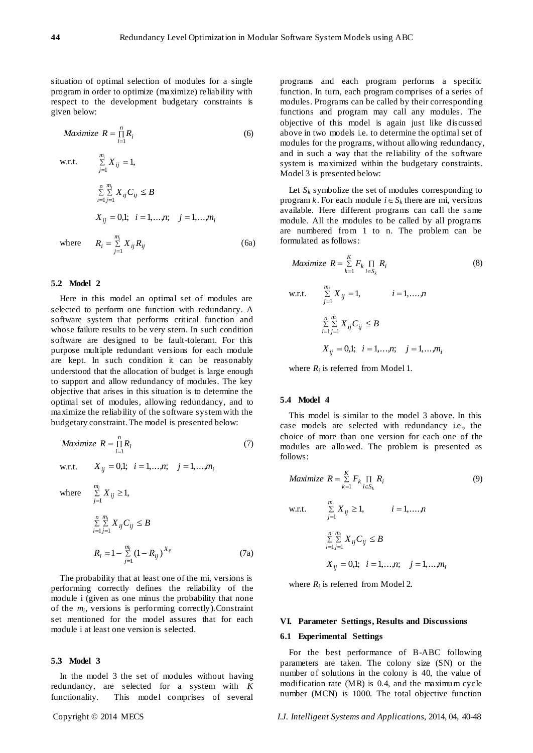(6a)

situation of optimal selection of modules for a single program in order to optimize (maximize) reliability with respect to the development budgetary constraints is given below:

$$
Maximize \t R = \prod_{i=1}^{n} R_i
$$
\n
$$
\text{w.r.t.} \qquad \sum_{j=1}^{m_i} X_{ij} = 1,
$$
\n
$$
\sum_{i=1}^{n} \sum_{j=1}^{m_i} X_{ij} C_{ij} \le B
$$
\n
$$
X_{ij} = 0,1; \quad i = 1,...,n; \quad j = 1,...,m_i
$$
\n(6)

 $R_i = \sum\limits_{j=1}^i X_{ij} R_{ij}$ 

where  $R_i = \sum_{j=1}^{m_i}$ 

#### **5.2 Model 2**

Here in this model an optimal set of modules are selected to perform one function with redundancy. A software system that performs critical function and whose failure results to be very stern. In such condition software are designed to be fault-tolerant. For this purpose multiple redundant versions for each module are kept. In such condition it can be reasonably understood that the allocation of budget is large enough to support and allow redundancy of modules. The key objective that arises in this situation is to determine the optimal set of modules, allowing redundancy, and to maximize the reliability of the software system with the budgetary constraint. The model is presented below:

$$
Maximize R = \prod_{i=1}^{n} R_i
$$
 (7)  
w.r.t.  $X_{ij} = 0,1; i = 1,...,n; j = 1,...,m_i$ 

where  $\sum_{j=1}^{i} X_{ij} \ge 1$ , *mi*  $\sum\limits_{j=1}^{\prime} X_{ij}$  $\sum\limits_{i=1}^n\sum\limits_{j=1}^{m_i}X_{ij}C_{ij}\leq$  $\sum_{i=1}^{L} \sum_{j=1}^{L} A_{ij} C_{ij}$ *m*  $\sum_{j=1}^{m_i} X_{ij} C_{ij} \leq B$  $1 j = 1$  $R_i = 1 - \sum_{j=1}^{m_i} (1 - R_{ij})^{X_{ij}}$ *j*  $R_i = 1 - \sum_{j=1}^{m_i} (1 - R_{ij})^{X_{ij}}$  (7a)

The probability that at least one of the mi, versions is performing correctly defines the reliability of the module i (given as one minus the probability that none of the *m<sup>i</sup>* , versions is performing correctly).Constraint set mentioned for the model assures that for each module i at least one version is selected.

#### **5.3 Model 3**

In the model 3 the set of modules without having redundancy, are selected for a system with *K*  functionality. This model comprises of several

programs and each program performs a specific function. In turn, each program comprises of a series of modules. Programs can be called by their corresponding functions and program may call any modules. The objective of this model is again just like discussed above in two models i.e. to determine the optimal set of modules for the programs, without allowing redundancy, and in such a way that the reliability of the software system is maximized within the budgetary constraints. Model 3 is presented below:

Let  $S_k$  symbolize the set of modules corresponding to program *k*. For each module  $i \in S_k$  there are mi, versions available. Here different programs can call the same module. All the modules to be called by all programs are numbered from 1 to n. The problem can be formulated as follows:

$$
Maximize \t R = \sum_{k=1}^{K} F_k \prod_{i \in S_k} R_i \t\t(8)
$$
  
w.r.t. 
$$
\sum_{j=1}^{m_i} X_{ij} = 1, \t i = 1,...,n
$$

$$
\sum_{i=1}^{n} \sum_{j=1}^{m_i} X_{ij} C_{ij} \le B
$$

$$
X_{ij} = 0,1; \t i = 1,...,n; \t j = 1,...,m_i
$$

where  $R_i$  is referred from Model 1.

## **5.4 Model 4**

This model is similar to the model 3 above. In this case models are selected with redundancy i.e., the choice of more than one version for each one of the modules are allowed. The problem is presented as follows:

$$
Maximize \t R = \sum_{k=1}^{K} F_k \prod_{i \in S_k} R_i \t\t(9)
$$
\n
$$
\text{w.r.t.} \t \sum_{j=1}^{m_i} X_{ij} \ge 1, \t i = 1,...,n
$$
\n
$$
\sum_{i=1}^{n} \sum_{j=1}^{m_i} X_{ij} C_{ij} \le B
$$
\n
$$
X_{ij} = 0,1; \t i = 1,...,n; \t j = 1,...,m_i
$$

where  $R_i$  is referred from Model 2.

#### **VI. Parameter Settings, Results and Discussions**

#### **6.1 Experimental Settings**

For the best performance of B-ABC following parameters are taken. The colony size (SN) or the number of solutions in the colony is 40, the value of modification rate (MR) is 0.4, and the maximum cycle number (MCN) is 1000. The total objective function

Copyright © 2014 MECS *I.J. Intelligent Systems and Applications,* 2014, 04, 40-48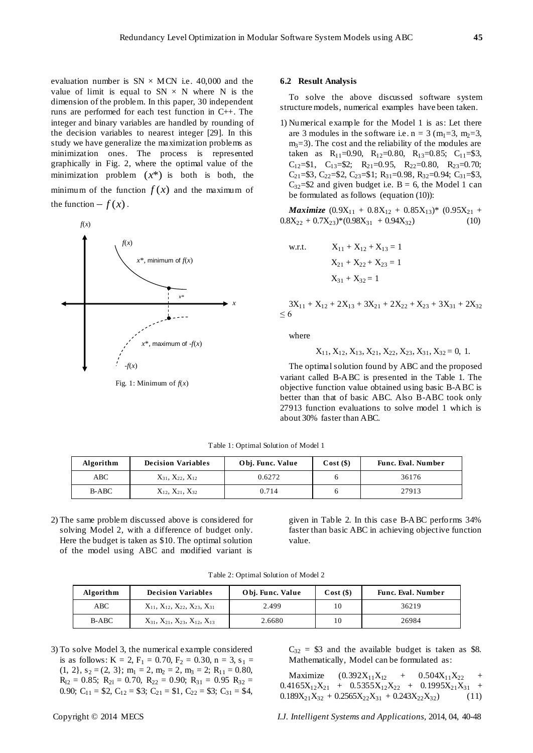evaluation number is  $SN \times MCN$  i.e. 40,000 and the value of limit is equal to  $SN \times N$  where N is the dimension of the problem. In this paper, 30 independent runs are performed for each test function in C++. The integer and binary variables are handled by rounding of the decision variables to nearest integer [29]. In this study we have generalize the maximization problems as minimization ones. The process is represented graphically in Fig. 2, where the optimal value of the minimization problem  $(x^*)$  is both is both, the minimum of the function  $f(x)$  and the maximum of the function  $-f(x)$ .



Fig. 1: Minimum of  $f(x)$ 

#### **6.2 Result Analysis**

To solve the above discussed software system structure models, numerical examples have been taken.

1) Numerical example for the Model 1 is as: Let there are 3 modules in the software i.e.  $n = 3$  (m<sub>1</sub>=3, m<sub>2</sub>=3,  $m<sub>3</sub>=3$ . The cost and the reliability of the modules are taken as  $R_{11}$ =0.90,  $R_{12}$ =0.80,  $R_{13}$ =0.85;  $C_{11}$ =\$3, C<sub>12</sub>=\$1, C<sub>13</sub>=\$2; R<sub>21</sub>=0.95, R<sub>22</sub>=0.80, R<sub>23</sub>=0.70; C<sub>21</sub>=\$3, C<sub>22</sub>=\$2, C<sub>23</sub>=\$1; R<sub>31</sub>=0.98, R<sub>32</sub>=0.94; C<sub>31</sub>=\$3,  $C_{32}$ =\$2 and given budget i.e. B = 6, the Model 1 can be formulated as follows (equation (10)):

*Maximize*  $(0.9X_{11} + 0.8X_{12} + 0.85X_{13})$ \*  $(0.95X_{21} + 0.85X_{13})$  $0.8X_{22} + 0.7X_{23}$ <sup>\*</sup> $(0.98X_{31} + 0.94X_{32})$  (10)

w.r.t. 
$$
X_{11} + X_{12} + X_{13} = 1
$$
  
 $X_{21} + X_{22} + X_{23} = 1$   
 $X_{31} + X_{32} = 1$ 

$$
3X_{11} + X_{12} + 2X_{13} + 3X_{21} + 2X_{22} + X_{23} + 3X_{31} + 2X_{32}
$$
  
\n
$$
\leq 6
$$

where

$$
X_{11}, X_{12}, X_{13}, X_{21}, X_{22}, X_{23}, X_{31}, X_{32} = 0, 1.
$$

The optimal solution found by ABC and the proposed variant called B-ABC is presented in the Table 1. The objective function value obtained using basic B-ABC is better than that of basic ABC. Also B-ABC took only 27913 function evaluations to solve model 1 which is about 30% faster than ABC.

| Algorithm | <b>Decision Variables</b>      | Obj. Func. Value | Cost(S) | <b>Func. Eval. Number</b> |
|-----------|--------------------------------|------------------|---------|---------------------------|
| ABC       | $X_{31}$ , $X_{22}$ , $X_{12}$ | 0.6272           |         | 36176                     |
| B-ABC     | $X_{12}$ , $X_{21}$ , $X_{32}$ | 0.714            |         | 27913                     |

Table 1: Optimal Solution of Model 1

2) The same problem discussed above is considered for solving Model 2, with a difference of budget only. Here the budget is taken as \$10. The optimal solution of the model using ABC and modified variant is

given in Table 2. In this case B-ABC performs 34% faster than basic ABC in achieving objective function value.

Table 2: Optimal Solution of Model 2

| Algorithm | <b>Decision Variables</b>                            | Obj. Func. Value | $Cost($ \$) | <b>Func. Eval. Number</b> |
|-----------|------------------------------------------------------|------------------|-------------|---------------------------|
| ABC       | $X_{11}$ , $X_{12}$ , $X_{22}$ , $X_{23}$ , $X_{31}$ | 2.499            |             | 36219                     |
| B-ABC     | $X_{31}$ , $X_{21}$ , $X_{23}$ , $X_{12}$ , $X_{13}$ | 2.6680           |             | 26984                     |

3) To solve Model 3, the numerical example considered is as follows:  $K = 2$ ,  $F_1 = 0.70$ ,  $F_2 = 0.30$ ,  $n = 3$ ,  $s_1 =$  $(1, 2), s_2 = (2, 3); m_1 = 2, m_2 = 2, m_3 = 2; R_{11} = 0.80,$  $R_{12} = 0.85$ ;  $R_{21} = 0.70$ ,  $R_{22} = 0.90$ ;  $R_{31} = 0.95$   $R_{32} =$ 0.90; C<sub>11</sub> = \$2, C<sub>12</sub> = \$3; C<sub>21</sub> = \$1, C<sub>22</sub> = \$3; C<sub>31</sub> = \$4,

 $C_{32}$  = \$3 and the available budget is taken as \$8. Mathematically, Model can be formulated as:

Maximize  $(0.392X_{11}X_{12} + 0.504X_{11}X_{22})$  $0.4165X_{12}X_{21} + 0.5355X_{12}X_{22} + 0.1995X_{21}X_{31} +$  $0.189X_{21}X_{32} + 0.2565X_{22}X_{31} + 0.243X_{22}X_{32})$  (11)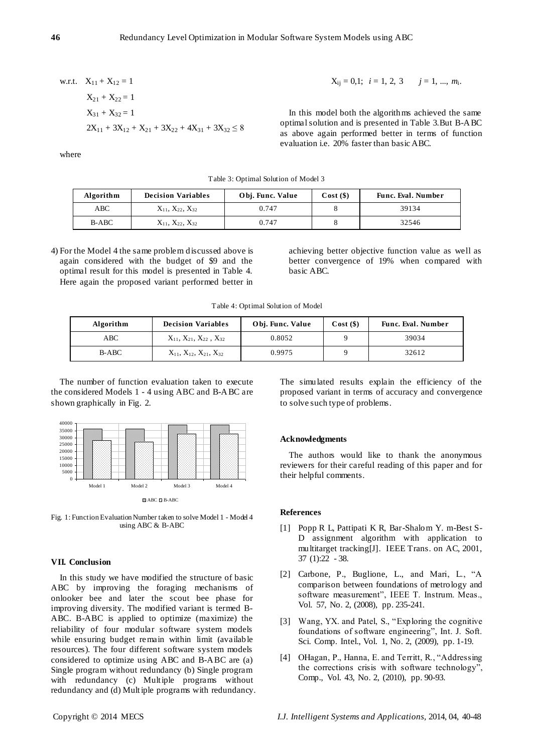w.r.t. 
$$
X_{11} + X_{12} = 1
$$
  
\n $X_{21} + X_{22} = 1$   
\n $X_{31} + X_{32} = 1$   
\n $2X_{11} + 3X_{12} + X_{21} + 3X_{22} + 4X_{31} + 3X_{32} \le 8$ 

$$
X_{ij} = 0,1; i = 1, 2, 3 \t j = 1, ..., m_i.
$$

In this model both the algorithms achieved the same optimal solution and is presented in Table 3.But B-ABC as above again performed better in terms of function evaluation i.e. 20% faster than basic ABC.

where

| Algorithm    | <b>Decision Variables</b>      | Obj. Func. Value | Cost(S) | <b>Func. Eval. Number</b> |
|--------------|--------------------------------|------------------|---------|---------------------------|
| ABC          | $X_{11}$ , $X_{22}$ , $X_{32}$ | 0.747            |         | 39134                     |
| <b>B-ABC</b> | $X_{11}$ , $X_{22}$ , $X_{32}$ | 0.747            |         | 32546                     |

Table 3: Optimal Solution of Model 3

4) For the Model 4 the same problem discussed above is again considered with the budget of \$9 and the optimal result for this model is presented in Table 4. Here again the proposed variant performed better in

achieving better objective function value as well as better convergence of 19% when compared with basic ABC.

Table 4: Optimal Solution of Model

| Algorithm | <b>Decision Variables</b>                 | Obj. Func. Value | $Cost($ \$) | <b>Func. Eval. Number</b> |
|-----------|-------------------------------------------|------------------|-------------|---------------------------|
| ABC       | $X_{11}$ , $X_{21}$ , $X_{22}$ , $X_{32}$ | 0.8052           |             | 39034                     |
| $B-ABC$   | $X_{11}$ , $X_{12}$ , $X_{21}$ , $X_{32}$ | 0.9975           |             | 32612                     |

The number of function evaluation taken to execute the considered Models 1 - 4 using ABC and B-ABC are shown graphically in Fig. 2.



Fig. 1: Function Evaluation Number taken to solve Model 1 - Model 4 using ABC & B-ABC

#### **VII. Conclusion**

In this study we have modified the structure of basic ABC by improving the foraging mechanisms of onlooker bee and later the scout bee phase for improving diversity. The modified variant is termed B-ABC. B-ABC is applied to optimize (maximize) the reliability of four modular software system models while ensuring budget remain within limit (available resources). The four different software system models considered to optimize using ABC and B-ABC are (a) Single program without redundancy (b) Single program with redundancy (c) Multiple programs without redundancy and (d) Multiple programs with redundancy. The simulated results explain the efficiency of the proposed variant in terms of accuracy and convergence to solve such type of problems.

# **Acknowledgments**

The authors would like to thank the anonymous reviewers for their careful reading of this paper and for their helpful comments.

#### **References**

- [1] Popp R L, Pattipati K R, Bar-Shalom Y. m-Best S-D assignment algorithm with application to multitarget tracking[J]. IEEE Trans. on AC, 2001, 37 (1):22 - 38.
- [2] Carbone, P., Buglione, L., and Mari, L., "A comparison between foundations of metrology and software measurement", IEEE T. Instrum. Meas., Vol. 57, No. 2, (2008), pp. 235-241.
- [3] Wang, YX. and Patel, S., "Exploring the cognitive foundations of software engineering", Int. J. Soft. Sci. Comp. Intel., Vol. 1, No. 2, (2009), pp. 1-19.
- [4] OHagan, P., Hanna, E. and Territt, R., "Addressing the corrections crisis with software technology", Comp., Vol. 43, No. 2, (2010), pp. 90-93.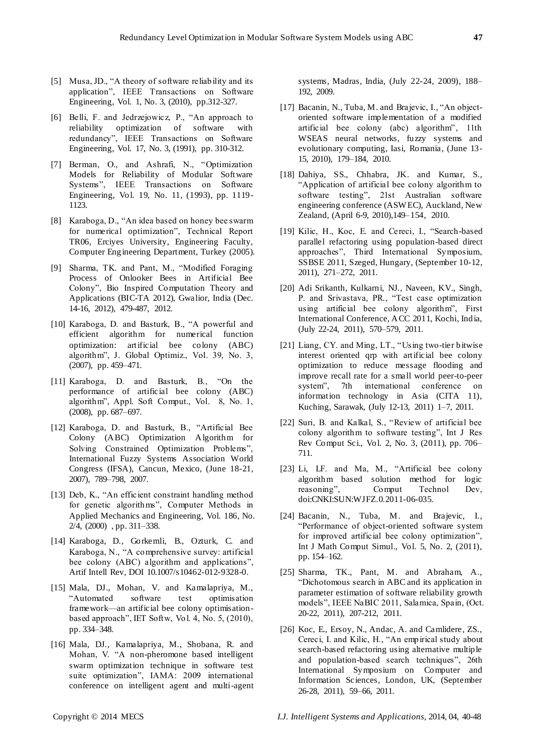- [5] Musa, JD., "A theory of software reliability and its application", IEEE Transactions on Software Engineering, Vol. 1, No. 3, (2010), pp.312-327.
- [6] Belli, F. and Jedrzejowicz, P., "An approach to reliability optimization of software with redundancy", IEEE Transactions on Software Engineering, Vol. 17, No. 3, (1991), pp. 310-312.
- [7] Berman, O., and Ashrafi, N., "Optimization Models for Reliability of Modular Software Systems", IEEE Transactions on Software Engineering, Vol. 19, No. 11, (1993), pp. 1119- 1123.
- [8] Karaboga, D., "An idea based on honey bee swarm for numerical optimization", Technical Report TR06, Erciyes University, Engineering Faculty, Computer Engineering Department, Turkey (2005).
- [9] Sharma, TK. and Pant, M., "Modified Foraging Process of Onlooker Bees in Artificial Bee Colony", Bio Inspired Computation Theory and Applications (BIC-TA 2012), Gwalior, India (Dec. 14-16, 2012), 479-487, 2012.
- [10] Karaboga, D. and Basturk, B., "A powerful and efficient algorithm for numerical function optimization: artificial bee colony (ABC) algorithm", J. Global Optimiz., Vol. 39, No. 3, (2007), pp. 459–471.
- [11] Karaboga, D. and Basturk, B., "On the performance of artificial bee colony (ABC) algorithm", Appl. Soft Comput., Vol. 8, No. 1, (2008), pp. 687–697.
- [12] Karaboga, D. and Basturk, B., "Artificial Bee Colony (ABC) Optimization Algorithm for Solving Constrained Optimization Problems", International Fuzzy Systems Association World Congress (IFSA), Cancun, Mexico, (June 18-21, 2007), 789–798, 2007.
- [13] Deb, K., "An efficient constraint handling method for genetic algorithms", Computer Methods in Applied Mechanics and Engineering, Vol. 186, No. 2/4, (2000) , pp. 311–338.
- [14] Karaboga, D., Gorkemli, B., Ozturk, C. and Karaboga, N., "A comprehensive survey: artificial bee colony (ABC) algorithm and applications", Artif Intell Rev, DOI 10.1007/s10462-012-9328-0.
- [15] Mala, DJ., Mohan, V. and Kamalapriya, M., ―Automated software test optimisation framework—an artificial bee colony optimisationbased approach", IET Softw, Vol. 4, No. 5,  $(2010)$ , pp. 334–348.
- [16] Mala, DJ., Kamalapriya, M., Shobana, R. and Mohan, V. "A non-pheromone based intelligent swarm optimization technique in software test suite optimization", IAMA: 2009 international conference on intelligent agent and multi-agent

systems, Madras, India, (July 22-24, 2009), 188– 192, 2009.

- [17] Bacanin, N., Tuba, M. and Brajevic, I., "An objectoriented software implementation of a modified artificial bee colony (abc) algorithm", 11th WSEAS neural networks, fuzzy systems and evolutionary computing, Iasi, Romania, (June 13- 15, 2010), 179–184, 2010.
- [18] Dahiya, SS., Chhabra, JK. and Kumar, S., ―Application of artificial bee colony algorithm to software testing", 21st Australian software engineering conference (ASW EC), Auckland, New Zealand, (April 6-9, 2010),149–154, 2010.
- [19] Kilic, H., Koc, E. and Cereci, I., "Search-based parallel refactoring using population-based direct approaches", Third International Symposium, SSBSE 2011, Szeged, Hungary, (September 10-12, 2011), 271–272, 2011.
- [20] Adi Srikanth, Kulkarni, NJ., Naveen, KV., Singh, P. and Srivastava, PR., "Test case optimization using artificial bee colony algorithm", First International Conference, ACC 2011, Kochi, India, (July 22-24, 2011), 570–579, 2011.
- [21] Liang, CY. and Ming, LT., "Using two-tier bitwise interest oriented qrp with artificial bee colony optimization to reduce message flooding and improve recall rate for a small world peer-to-peer system", 7th international conference on information technology in Asia (CITA 11), Kuching, Sarawak, (July 12-13, 2011) 1–7, 2011.
- [22] Suri, B. and Kalkal, S., "Review of artificial bee colony algorithm to software testing", Int J Res Rev Comput Sci., Vol. 2, No. 3, (2011), pp. 706– 711.
- $[23]$  Li, LF. and Ma, M., "Artificial bee colony algorithm based solution method for logic reasoning", Comput Technol Dev, doi:CNKI:SUN:WJFZ.0.2011-06-035.
- [24] Bacanin, N., Tuba, M. and Brajevic, I., ―Performance of object-oriented software system for improved artificial bee colony optimization", Int J Math Comput Simul., Vol. 5, No. 2, (2011), pp. 154–162.
- [25] Sharma, TK., Pant, M. and Abraham, A., ―Dichotomous search in ABC and its application in parameter estimation of software reliability growth models", IEEE NaBIC 2011, Salamica, Spain, (Oct. 20-22, 2011), 207-212, 2011.
- [26] Koc, E., Ersoy, N., Andac, A. and Camlidere, ZS., Cereci, I. and Kilic, H., "An empirical study about search-based refactoring using alternative multiple and population-based search techniques", 26th International Symposium on Computer and Information Sciences, London, UK, (September 26-28, 2011), 59–66, 2011.